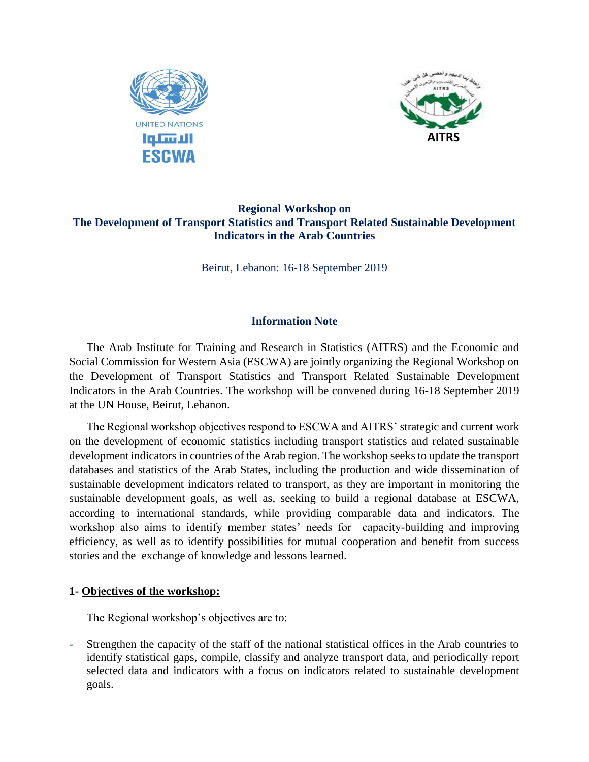



# **Regional Workshop on The Development of Transport Statistics and Transport Related Sustainable Development Indicators in the Arab Countries**

Beirut, Lebanon: 16-18 September 2019

#### **Information Note**

The Arab Institute for Training and Research in Statistics (AITRS) and the Economic and Social Commission for Western Asia (ESCWA) are jointly organizing the Regional Workshop on the Development of Transport Statistics and Transport Related Sustainable Development Indicators in the Arab Countries. The workshop will be convened during 16-18 September 2019 at the UN House, Beirut, Lebanon.

The Regional workshop objectives respond to ESCWA and AITRS' strategic and current work on the development of economic statistics including transport statistics and related sustainable development indicators in countries of the Arab region. The workshop seeks to update the transport databases and statistics of the Arab States, including the production and wide dissemination of sustainable development indicators related to transport, as they are important in monitoring the sustainable development goals, as well as, seeking to build a regional database at ESCWA, according to international standards, while providing comparable data and indicators. The workshop also aims to identify member states' needs for capacity-building and improving efficiency, as well as to identify possibilities for mutual cooperation and benefit from success stories and the exchange of knowledge and lessons learned.

#### **1- Objectives of the workshop:**

The Regional workshop's objectives are to:

Strengthen the capacity of the staff of the national statistical offices in the Arab countries to identify statistical gaps, compile, classify and analyze transport data, and periodically report selected data and indicators with a focus on indicators related to sustainable development goals.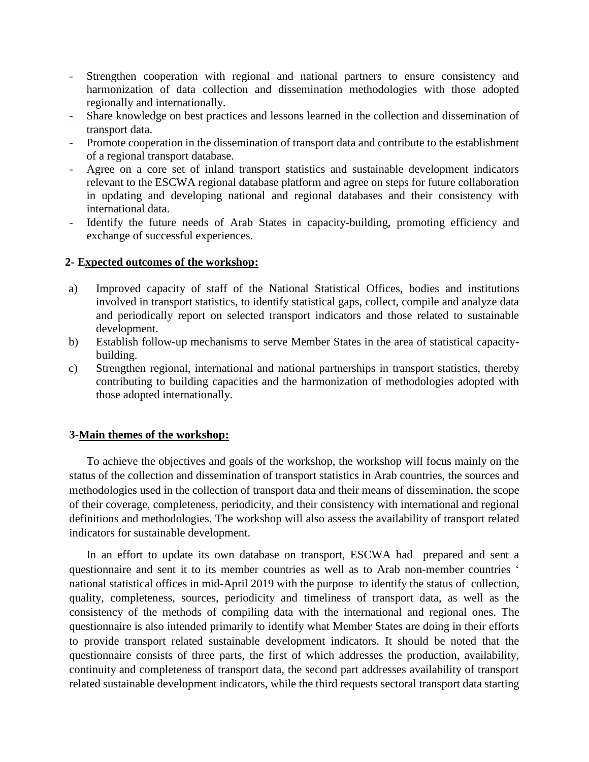- Strengthen cooperation with regional and national partners to ensure consistency and harmonization of data collection and dissemination methodologies with those adopted regionally and internationally.
- Share knowledge on best practices and lessons learned in the collection and dissemination of transport data.
- Promote cooperation in the dissemination of transport data and contribute to the establishment of a regional transport database.
- Agree on a core set of inland transport statistics and sustainable development indicators relevant to the ESCWA regional database platform and agree on steps for future collaboration in updating and developing national and regional databases and their consistency with international data.
- Identify the future needs of Arab States in capacity-building, promoting efficiency and exchange of successful experiences.

#### **2- Expected outcomes of the workshop:**

- a) Improved capacity of staff of the National Statistical Offices, bodies and institutions involved in transport statistics, to identify statistical gaps, collect, compile and analyze data and periodically report on selected transport indicators and those related to sustainable development.
- b) Establish follow-up mechanisms to serve Member States in the area of statistical capacitybuilding.
- c) Strengthen regional, international and national partnerships in transport statistics, thereby contributing to building capacities and the harmonization of methodologies adopted with those adopted internationally.

#### **3-Main themes of the workshop:**

To achieve the objectives and goals of the workshop, the workshop will focus mainly on the status of the collection and dissemination of transport statistics in Arab countries, the sources and methodologies used in the collection of transport data and their means of dissemination, the scope of their coverage, completeness, periodicity, and their consistency with international and regional definitions and methodologies. The workshop will also assess the availability of transport related indicators for sustainable development.

In an effort to update its own database on transport, ESCWA had prepared and sent a questionnaire and sent it to its member countries as well as to Arab non-member countries ' national statistical offices in mid-April 2019 with the purpose to identify the status of collection, quality, completeness, sources, periodicity and timeliness of transport data, as well as the consistency of the methods of compiling data with the international and regional ones. The questionnaire is also intended primarily to identify what Member States are doing in their efforts to provide transport related sustainable development indicators. It should be noted that the questionnaire consists of three parts, the first of which addresses the production, availability, continuity and completeness of transport data, the second part addresses availability of transport related sustainable development indicators, while the third requests sectoral transport data starting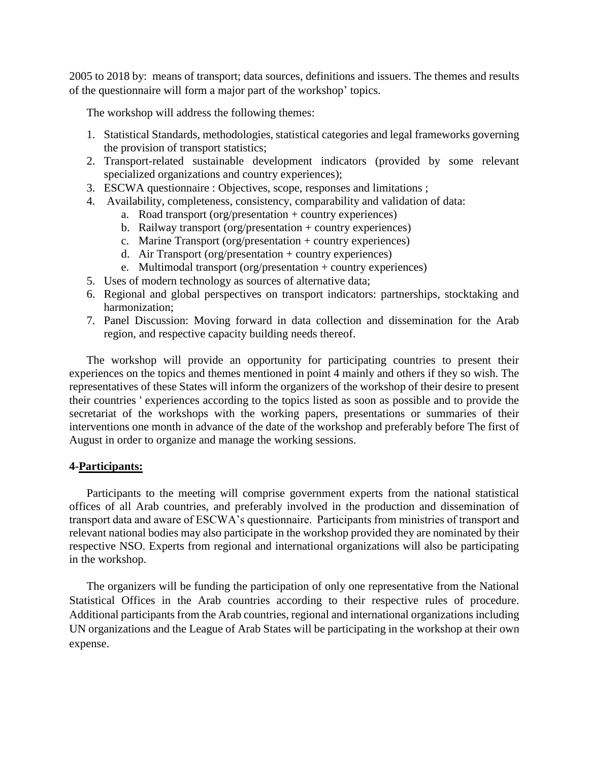2005 to 2018 by: means of transport; data sources, definitions and issuers. The themes and results of the questionnaire will form a major part of the workshop' topics.

The workshop will address the following themes:

- 1. Statistical Standards, methodologies, statistical categories and legal frameworks governing the provision of transport statistics;
- 2. Transport-related sustainable development indicators (provided by some relevant specialized organizations and country experiences);
- 3. ESCWA questionnaire : Objectives, scope, responses and limitations ;
- 4. Availability, completeness, consistency, comparability and validation of data:
	- a. Road transport (org/presentation + country experiences)
	- b. Railway transport (org/presentation + country experiences)
	- c. Marine Transport (org/presentation + country experiences)
	- d. Air Transport (org/presentation + country experiences)
	- e. Multimodal transport (org/presentation + country experiences)
- 5. Uses of modern technology as sources of alternative data;
- 6. Regional and global perspectives on transport indicators: partnerships, stocktaking and harmonization;
- 7. Panel Discussion: Moving forward in data collection and dissemination for the Arab region, and respective capacity building needs thereof.

The workshop will provide an opportunity for participating countries to present their experiences on the topics and themes mentioned in point 4 mainly and others if they so wish. The representatives of these States will inform the organizers of the workshop of their desire to present their countries ' experiences according to the topics listed as soon as possible and to provide the secretariat of the workshops with the working papers, presentations or summaries of their interventions one month in advance of the date of the workshop and preferably before The first of August in order to organize and manage the working sessions.

#### **4-Participants:**

Participants to the meeting will comprise government experts from the national statistical offices of all Arab countries, and preferably involved in the production and dissemination of transport data and aware of ESCWA's questionnaire. Participants from ministries of transport and relevant national bodies may also participate in the workshop provided they are nominated by their respective NSO. Experts from regional and international organizations will also be participating in the workshop.

The organizers will be funding the participation of only one representative from the National Statistical Offices in the Arab countries according to their respective rules of procedure. Additional participants from the Arab countries, regional and international organizations including UN organizations and the League of Arab States will be participating in the workshop at their own expense.